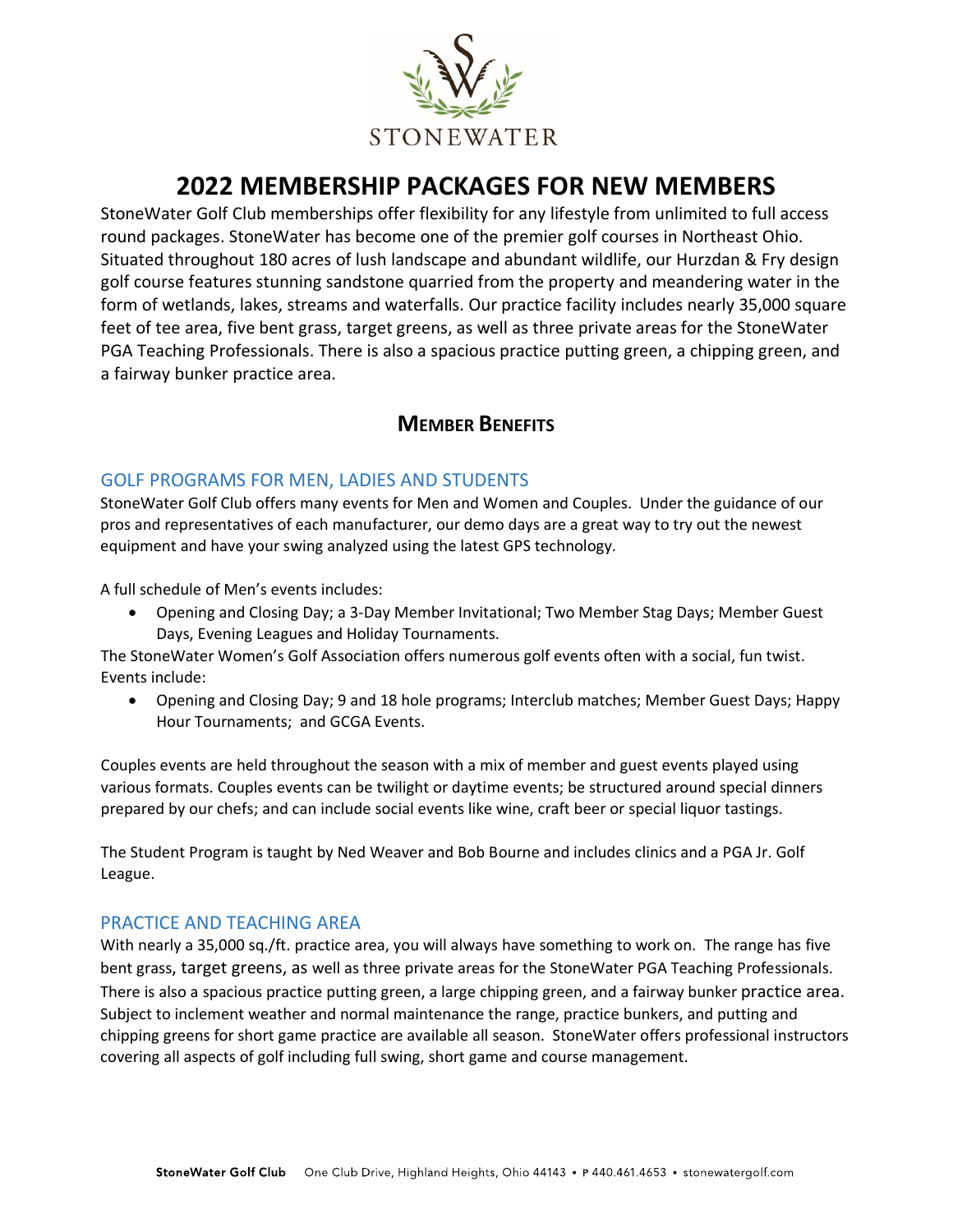

# **2022 MEMBERSHIP PACKAGES FOR NEW MEMBERS**

StoneWater Golf Club memberships offer flexibility for any lifestyle from unlimited to full access round packages. StoneWater has become one of the premier golf courses in Northeast Ohio. Situated throughout 180 acres of lush landscape and abundant wildlife, our Hurzdan & Fry design golf course features stunning sandstone quarried from the property and meandering water in the form of wetlands, lakes, streams and waterfalls. Our practice facility includes nearly 35,000 square feet of tee area, five bent grass, target greens, as well as three private areas for the StoneWater PGA Teaching Professionals. There is also a spacious practice putting green, a chipping green, and a fairway bunker practice area.

# **MEMBER BENEFITS**

## GOLF PROGRAMS FOR MEN, LADIES AND STUDENTS

StoneWater Golf Club offers many events for Men and Women and Couples. Under the guidance of our pros and representatives of each manufacturer, our demo days are a great way to try out the newest equipment and have your swing analyzed using the latest GPS technology.

A full schedule of Men's events includes:

• Opening and Closing Day; a 3-Day Member Invitational; Two Member Stag Days; Member Guest Days, Evening Leagues and Holiday Tournaments.

The StoneWater Women's Golf Association offers numerous golf events often with a social, fun twist. Events include:

• Opening and Closing Day; 9 and 18 hole programs; Interclub matches; Member Guest Days; Happy Hour Tournaments; and GCGA Events.

Couples events are held throughout the season with a mix of member and guest events played using various formats. Couples events can be twilight or daytime events; be structured around special dinners prepared by our chefs; and can include social events like wine, craft beer or special liquor tastings.

The Student Program is taught by Ned Weaver and Bob Bourne and includes clinics and a PGA Jr. Golf League.

## PRACTICE AND TEACHING AREA

With nearly a 35,000 sq./ft. practice area, you will always have something to work on. The range has five bent grass, target greens, as well as three private areas for the StoneWater PGA Teaching Professionals. There is also a spacious practice putting green, a large chipping green, and a fairway bunker practice area. Subject to inclement weather and normal maintenance the range, practice bunkers, and putting and chipping greens for short game practice are available all season. StoneWater offers professional instructors covering all aspects of golf including full swing, short game and course management.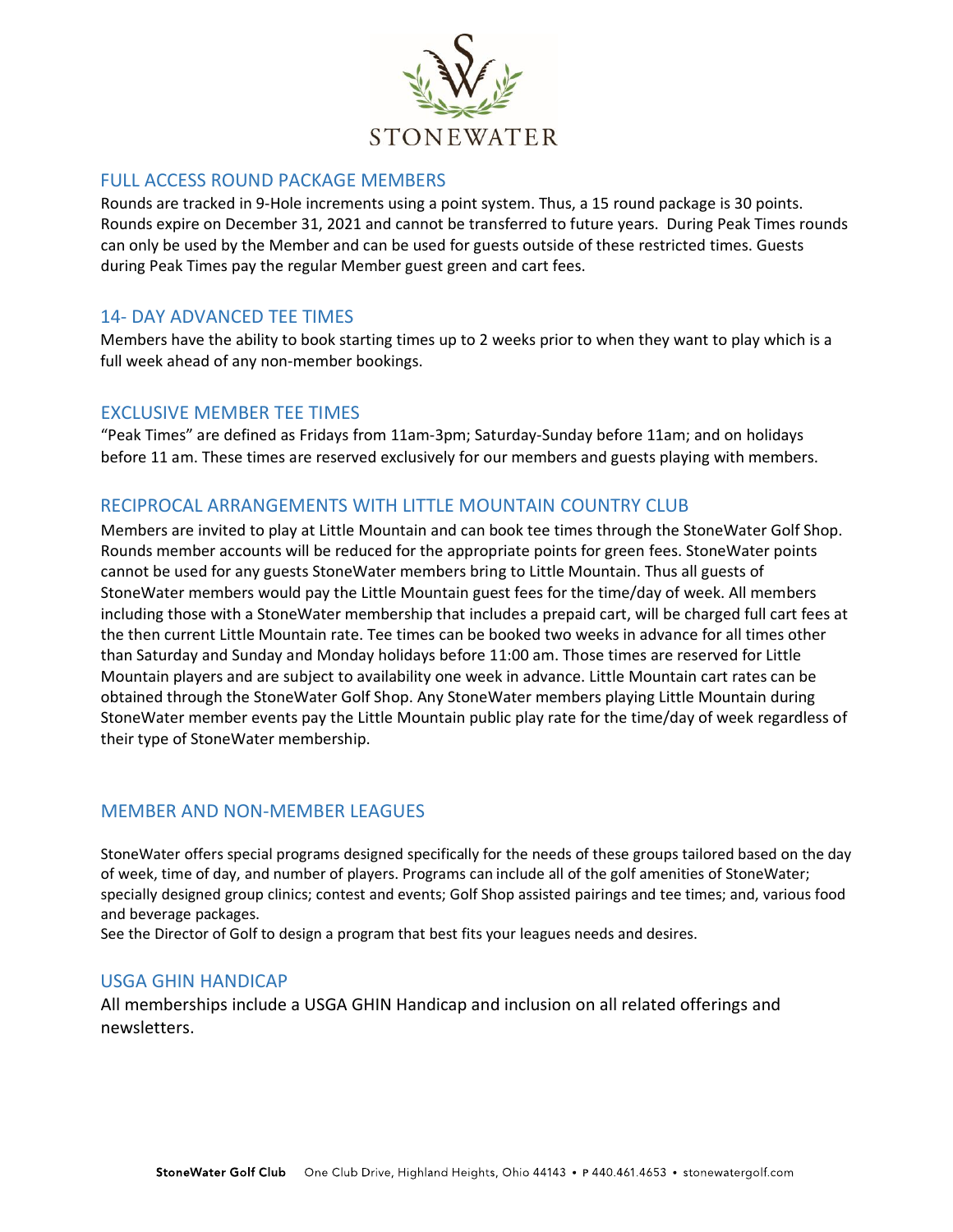

#### FULL ACCESS ROUND PACKAGE MEMBERS

Rounds are tracked in 9-Hole increments using a point system. Thus, a 15 round package is 30 points. Rounds expire on December 31, 2021 and cannot be transferred to future years. During Peak Times rounds can only be used by the Member and can be used for guests outside of these restricted times. Guests during Peak Times pay the regular Member guest green and cart fees.

#### 14- DAY ADVANCED TEE TIMES

Members have the ability to book starting times up to 2 weeks prior to when they want to play which is a full week ahead of any non-member bookings.

#### EXCLUSIVE MEMBER TEE TIMES

"Peak Times" are defined as Fridays from 11am-3pm; Saturday-Sunday before 11am; and on holidays before 11 am. These times are reserved exclusively for our members and guests playing with members.

## RECIPROCAL ARRANGEMENTS WITH LITTLE MOUNTAIN COUNTRY CLUB

Members are invited to play at Little Mountain and can book tee times through the StoneWater Golf Shop. Rounds member accounts will be reduced for the appropriate points for green fees. StoneWater points cannot be used for any guests StoneWater members bring to Little Mountain. Thus all guests of StoneWater members would pay the Little Mountain guest fees for the time/day of week. All members including those with a StoneWater membership that includes a prepaid cart, will be charged full cart fees at the then current Little Mountain rate. Tee times can be booked two weeks in advance for all times other than Saturday and Sunday and Monday holidays before 11:00 am. Those times are reserved for Little Mountain players and are subject to availability one week in advance. Little Mountain cart rates can be obtained through the StoneWater Golf Shop. Any StoneWater members playing Little Mountain during StoneWater member events pay the Little Mountain public play rate for the time/day of week regardless of their type of StoneWater membership.

#### MEMBER AND NON-MEMBER LEAGUES

StoneWater offers special programs designed specifically for the needs of these groups tailored based on the day of week, time of day, and number of players. Programs can include all of the golf amenities of StoneWater; specially designed group clinics; contest and events; Golf Shop assisted pairings and tee times; and, various food and beverage packages.

See the Director of Golf to design a program that best fits your leagues needs and desires.

#### USGA GHIN HANDICAP

All memberships include a USGA GHIN Handicap and inclusion on all related offerings and newsletters.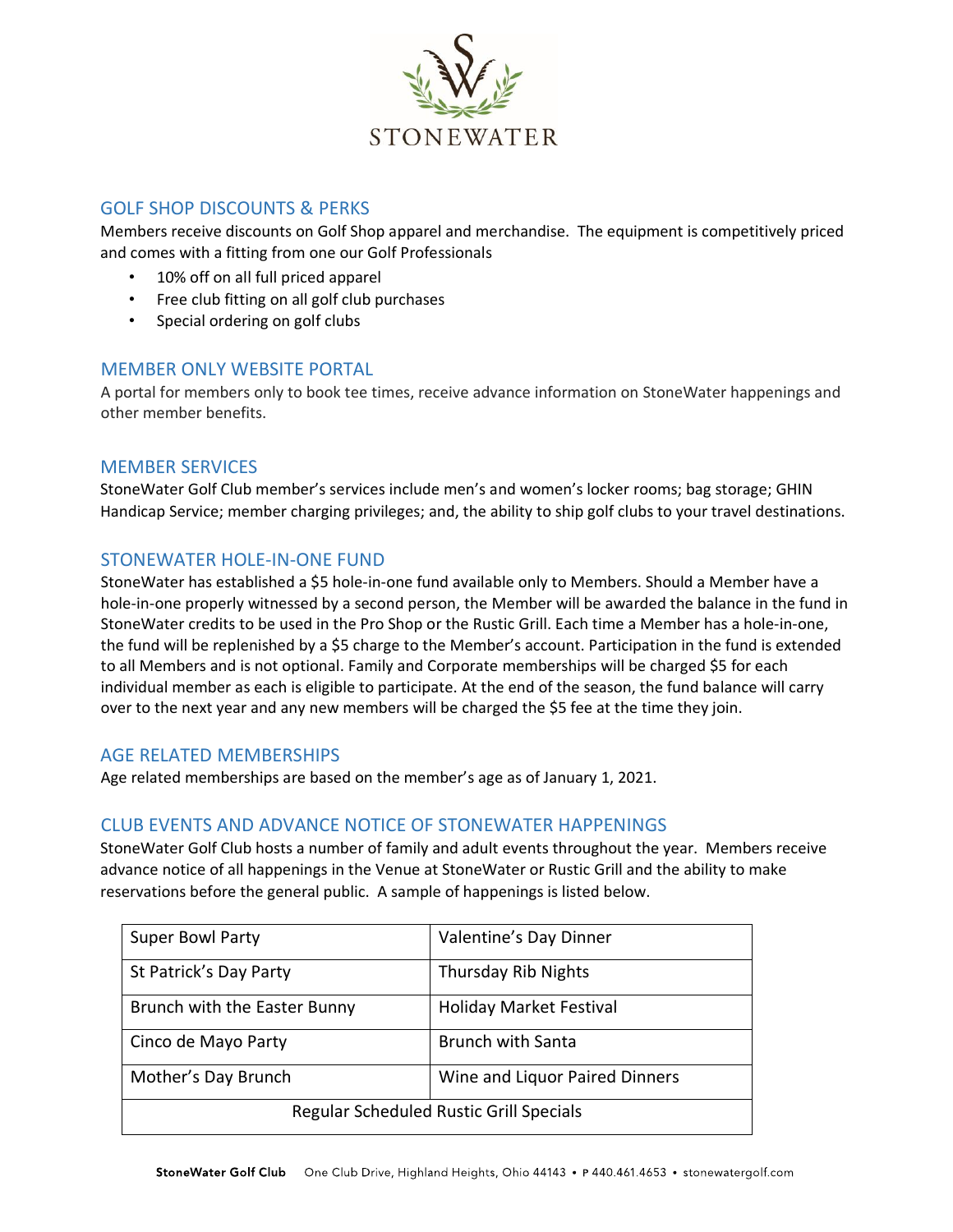

## GOLF SHOP DISCOUNTS & PERKS

Members receive discounts on Golf Shop apparel and merchandise. The equipment is competitively priced and comes with a fitting from one our Golf Professionals

- 10% off on all full priced apparel
- Free club fitting on all golf club purchases
- Special ordering on golf clubs

#### MEMBER ONLY WEBSITE PORTAL

A portal for members only to book tee times, receive advance information on StoneWater happenings and other member benefits.

#### MEMBER SERVICES

StoneWater Golf Club member's services include men's and women's locker rooms; bag storage; GHIN Handicap Service; member charging privileges; and, the ability to ship golf clubs to your travel destinations.

#### STONEWATER HOLE-IN-ONE FUND

StoneWater has established a \$5 hole-in-one fund available only to Members. Should a Member have a hole-in-one properly witnessed by a second person, the Member will be awarded the balance in the fund in StoneWater credits to be used in the Pro Shop or the Rustic Grill. Each time a Member has a hole-in-one, the fund will be replenished by a \$5 charge to the Member's account. Participation in the fund is extended to all Members and is not optional. Family and Corporate memberships will be charged \$5 for each individual member as each is eligible to participate. At the end of the season, the fund balance will carry over to the next year and any new members will be charged the \$5 fee at the time they join.

#### AGE RELATED MEMBERSHIPS

Age related memberships are based on the member's age as of January 1, 2021.

#### CLUB EVENTS AND ADVANCE NOTICE OF STONEWATER HAPPENINGS

StoneWater Golf Club hosts a number of family and adult events throughout the year. Members receive advance notice of all happenings in the Venue at StoneWater or Rustic Grill and the ability to make reservations before the general public. A sample of happenings is listed below.

| <b>Super Bowl Party</b>                        | Valentine's Day Dinner         |  |  |
|------------------------------------------------|--------------------------------|--|--|
| St Patrick's Day Party                         | <b>Thursday Rib Nights</b>     |  |  |
| Brunch with the Easter Bunny                   | <b>Holiday Market Festival</b> |  |  |
| Cinco de Mayo Party                            | <b>Brunch with Santa</b>       |  |  |
| Mother's Day Brunch                            | Wine and Liquor Paired Dinners |  |  |
| <b>Regular Scheduled Rustic Grill Specials</b> |                                |  |  |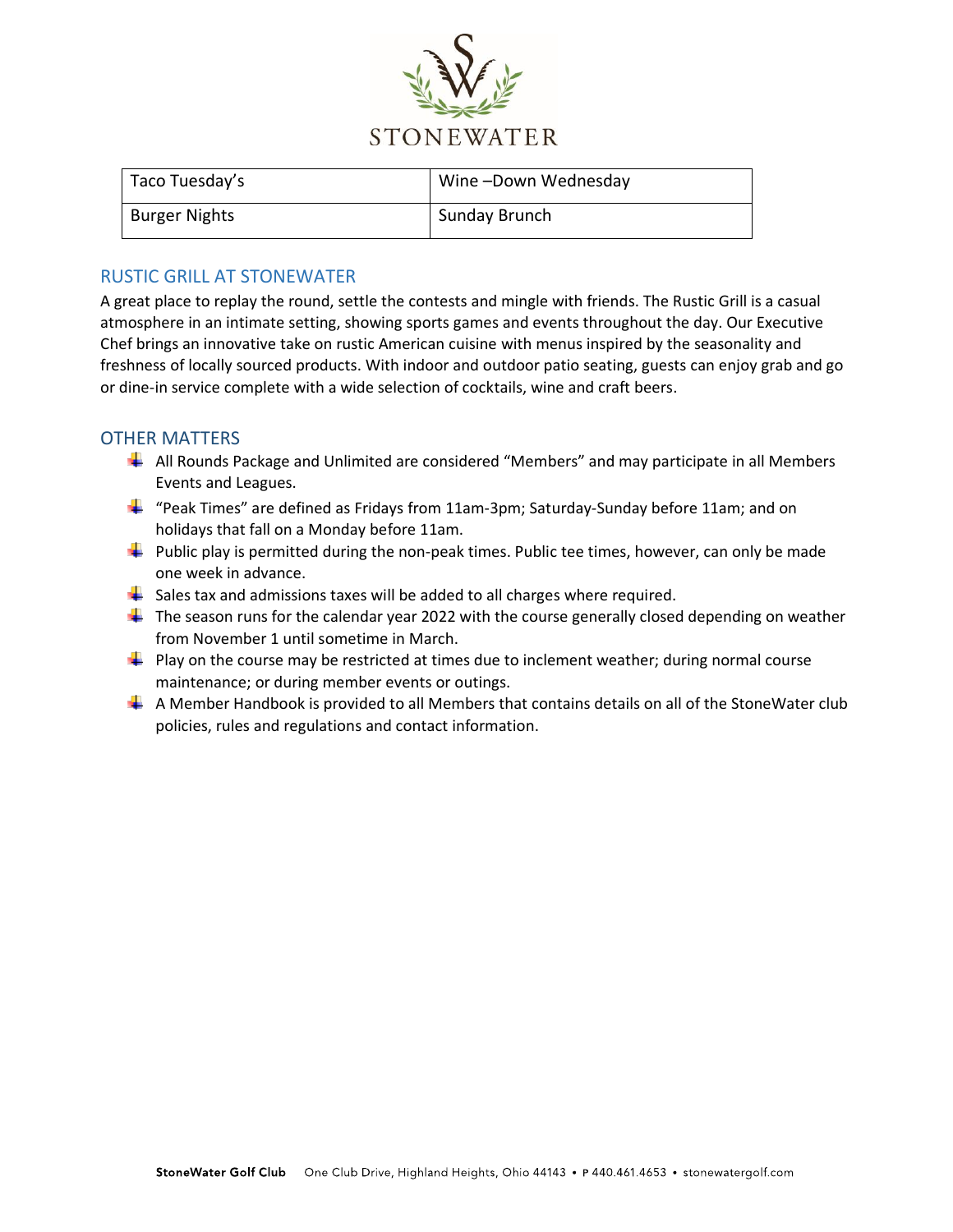

| Taco Tuesday's       | Wine-Down Wednesday |
|----------------------|---------------------|
| <b>Burger Nights</b> | Sunday Brunch       |

## RUSTIC GRILL AT STONEWATER

A great place to replay the round, settle the contests and mingle with friends. The Rustic Grill is a casual atmosphere in an intimate setting, showing sports games and events throughout the day. Our Executive Chef brings an innovative take on rustic American cuisine with menus inspired by the seasonality and freshness of locally sourced products. With indoor and outdoor patio seating, guests can enjoy grab and go or dine-in service complete with a wide selection of cocktails, wine and craft beers.

## OTHER MATTERS

- All Rounds Package and Unlimited are considered "Members" and may participate in all Members Events and Leagues.
- $\frac{1}{2}$  "Peak Times" are defined as Fridays from 11am-3pm; Saturday-Sunday before 11am; and on holidays that fall on a Monday before 11am.
- $\ddot{\phantom{1}}$  Public play is permitted during the non-peak times. Public tee times, however, can only be made one week in advance.
- $\frac{1}{2}$  Sales tax and admissions taxes will be added to all charges where required.
- $\ddot{\phantom{1}}$  The season runs for the calendar year 2022 with the course generally closed depending on weather from November 1 until sometime in March.
- $\perp$  Play on the course may be restricted at times due to inclement weather; during normal course maintenance; or during member events or outings.
- $\perp$  A Member Handbook is provided to all Members that contains details on all of the StoneWater club policies, rules and regulations and contact information.